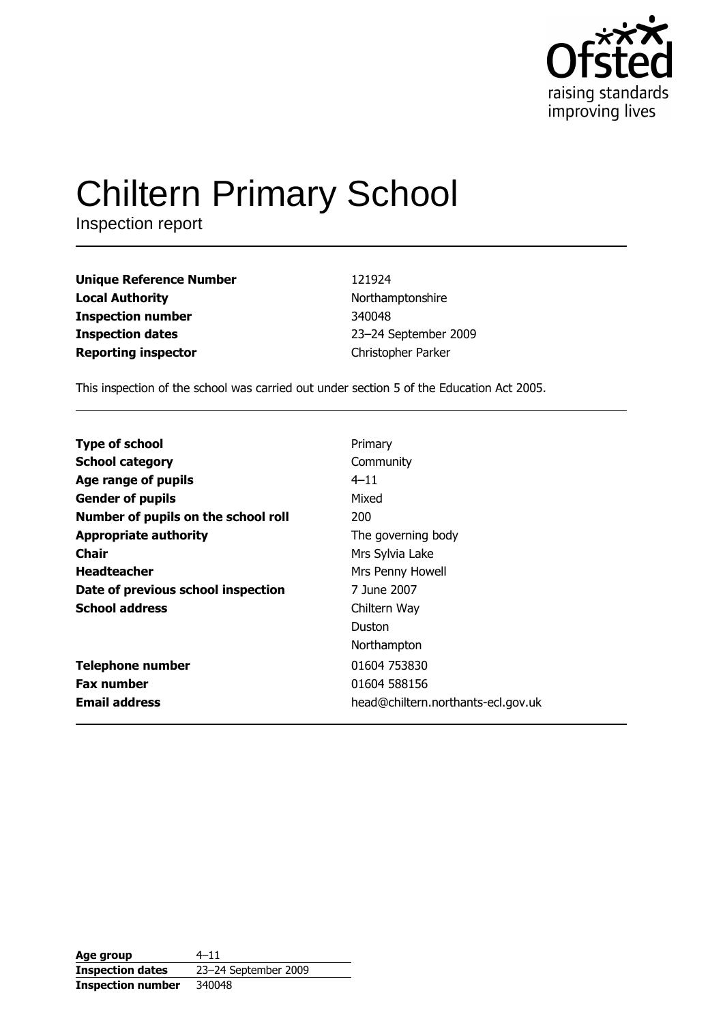

# **Chiltern Primary School**

Inspection report

**Unique Reference Number Local Authority Inspection number Inspection dates Reporting inspector** 

121924 Northamptonshire 340048 23-24 September 2009 Christopher Parker

This inspection of the school was carried out under section 5 of the Education Act 2005.

| <b>Type of school</b>               | Primary                            |
|-------------------------------------|------------------------------------|
| <b>School category</b>              | Community                          |
| Age range of pupils                 | $4 - 11$                           |
| <b>Gender of pupils</b>             | Mixed                              |
| Number of pupils on the school roll | 200                                |
| <b>Appropriate authority</b>        | The governing body                 |
| <b>Chair</b>                        | Mrs Sylvia Lake                    |
| <b>Headteacher</b>                  | Mrs Penny Howell                   |
| Date of previous school inspection  | 7 June 2007                        |
| <b>School address</b>               | Chiltern Way                       |
|                                     | Duston                             |
|                                     | Northampton                        |
| <b>Telephone number</b>             | 01604 753830                       |
| <b>Fax number</b>                   | 01604 588156                       |
| <b>Email address</b>                | head@chiltern.northants-ecl.gov.uk |

| Age group                | $4 - 11$             |
|--------------------------|----------------------|
| <b>Inspection dates</b>  | 23-24 September 2009 |
| <b>Inspection number</b> | 340048               |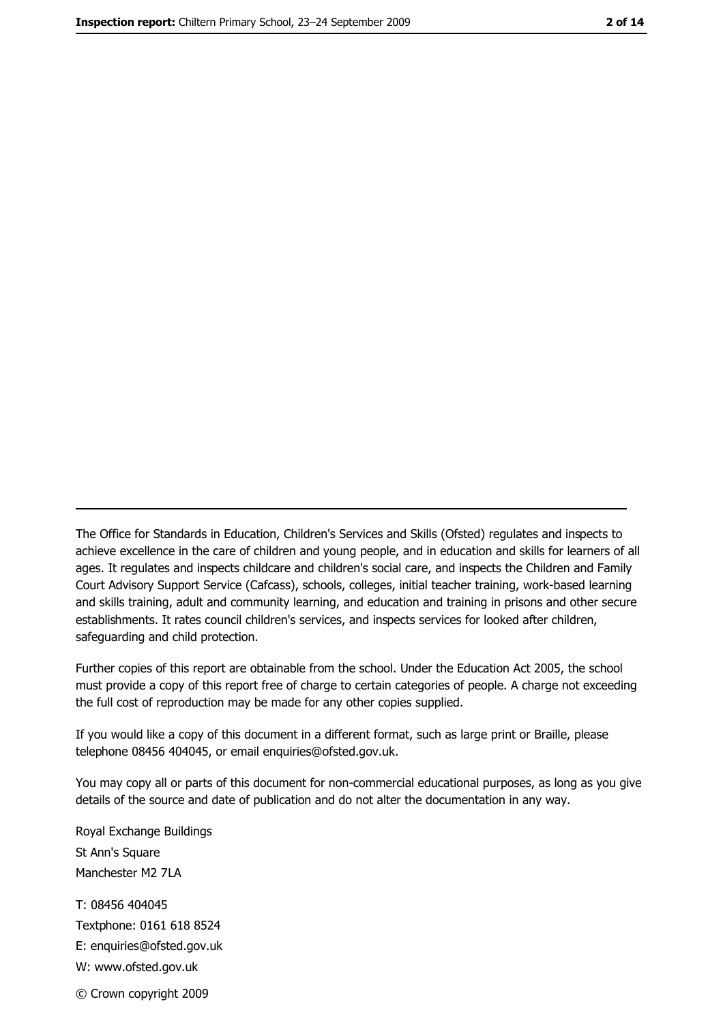The Office for Standards in Education, Children's Services and Skills (Ofsted) regulates and inspects to achieve excellence in the care of children and young people, and in education and skills for learners of all ages. It regulates and inspects childcare and children's social care, and inspects the Children and Family Court Advisory Support Service (Cafcass), schools, colleges, initial teacher training, work-based learning and skills training, adult and community learning, and education and training in prisons and other secure establishments. It rates council children's services, and inspects services for looked after children, safequarding and child protection.

Further copies of this report are obtainable from the school. Under the Education Act 2005, the school must provide a copy of this report free of charge to certain categories of people. A charge not exceeding the full cost of reproduction may be made for any other copies supplied.

If you would like a copy of this document in a different format, such as large print or Braille, please telephone 08456 404045, or email enquiries@ofsted.gov.uk.

You may copy all or parts of this document for non-commercial educational purposes, as long as you give details of the source and date of publication and do not alter the documentation in any way.

Royal Exchange Buildings St Ann's Square Manchester M2 7LA T: 08456 404045 Textphone: 0161 618 8524 E: enquiries@ofsted.gov.uk W: www.ofsted.gov.uk

© Crown copyright 2009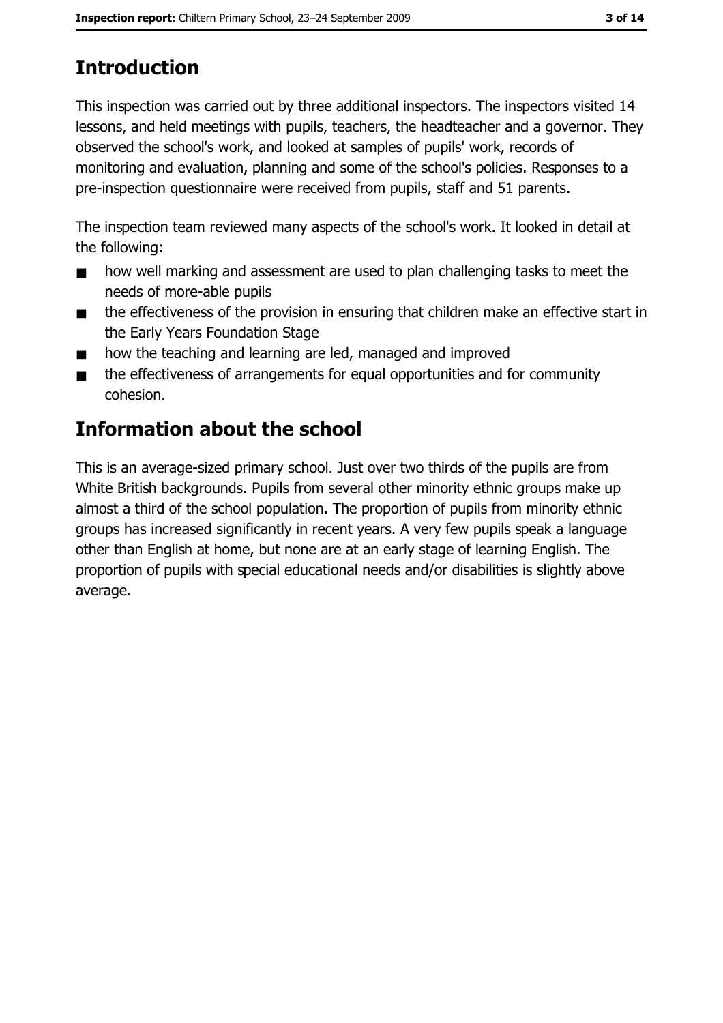# **Introduction**

This inspection was carried out by three additional inspectors. The inspectors visited 14 lessons, and held meetings with pupils, teachers, the headteacher and a governor. They observed the school's work, and looked at samples of pupils' work, records of monitoring and evaluation, planning and some of the school's policies. Responses to a pre-inspection questionnaire were received from pupils, staff and 51 parents.

The inspection team reviewed many aspects of the school's work. It looked in detail at the following:

- how well marking and assessment are used to plan challenging tasks to meet the  $\blacksquare$ needs of more-able pupils
- the effectiveness of the provision in ensuring that children make an effective start in  $\blacksquare$ the Early Years Foundation Stage
- how the teaching and learning are led, managed and improved  $\blacksquare$
- the effectiveness of arrangements for equal opportunities and for community  $\blacksquare$ cohesion.

# **Information about the school**

This is an average-sized primary school. Just over two thirds of the pupils are from White British backgrounds. Pupils from several other minority ethnic groups make up almost a third of the school population. The proportion of pupils from minority ethnic groups has increased significantly in recent years. A very few pupils speak a language other than English at home, but none are at an early stage of learning English. The proportion of pupils with special educational needs and/or disabilities is slightly above average.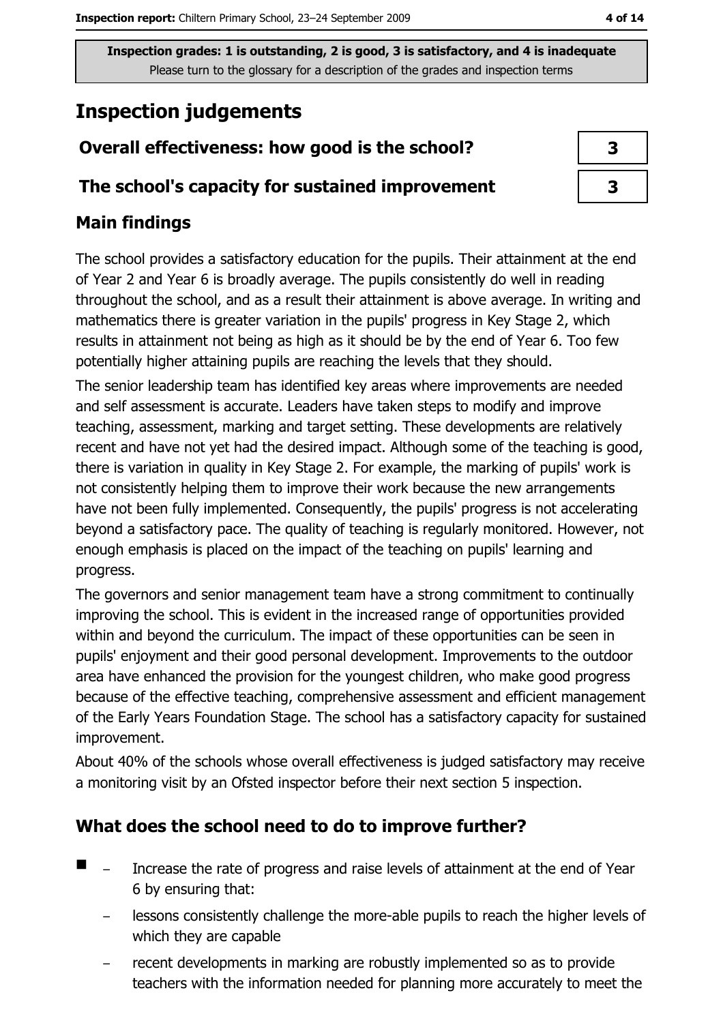# **Inspection judgements**

## Overall effectiveness: how good is the school?

### The school's capacity for sustained improvement

## **Main findings**

The school provides a satisfactory education for the pupils. Their attainment at the end of Year 2 and Year 6 is broadly average. The pupils consistently do well in reading throughout the school, and as a result their attainment is above average. In writing and mathematics there is greater variation in the pupils' progress in Key Stage 2, which results in attainment not being as high as it should be by the end of Year 6. Too few potentially higher attaining pupils are reaching the levels that they should.

The senior leadership team has identified key areas where improvements are needed and self assessment is accurate. Leaders have taken steps to modify and improve teaching, assessment, marking and target setting. These developments are relatively recent and have not yet had the desired impact. Although some of the teaching is good, there is variation in quality in Key Stage 2. For example, the marking of pupils' work is not consistently helping them to improve their work because the new arrangements have not been fully implemented. Consequently, the pupils' progress is not accelerating beyond a satisfactory pace. The quality of teaching is regularly monitored. However, not enough emphasis is placed on the impact of the teaching on pupils' learning and progress.

The governors and senior management team have a strong commitment to continually improving the school. This is evident in the increased range of opportunities provided within and beyond the curriculum. The impact of these opportunities can be seen in pupils' enjoyment and their good personal development. Improvements to the outdoor area have enhanced the provision for the youngest children, who make good progress because of the effective teaching, comprehensive assessment and efficient management of the Early Years Foundation Stage. The school has a satisfactory capacity for sustained improvement.

About 40% of the schools whose overall effectiveness is judged satisfactory may receive a monitoring visit by an Ofsted inspector before their next section 5 inspection.

# What does the school need to do to improve further?

- Increase the rate of progress and raise levels of attainment at the end of Year 6 by ensuring that:
	- lessons consistently challenge the more-able pupils to reach the higher levels of which they are capable
	- recent developments in marking are robustly implemented so as to provide teachers with the information needed for planning more accurately to meet the

| 3 |  |
|---|--|
| 3 |  |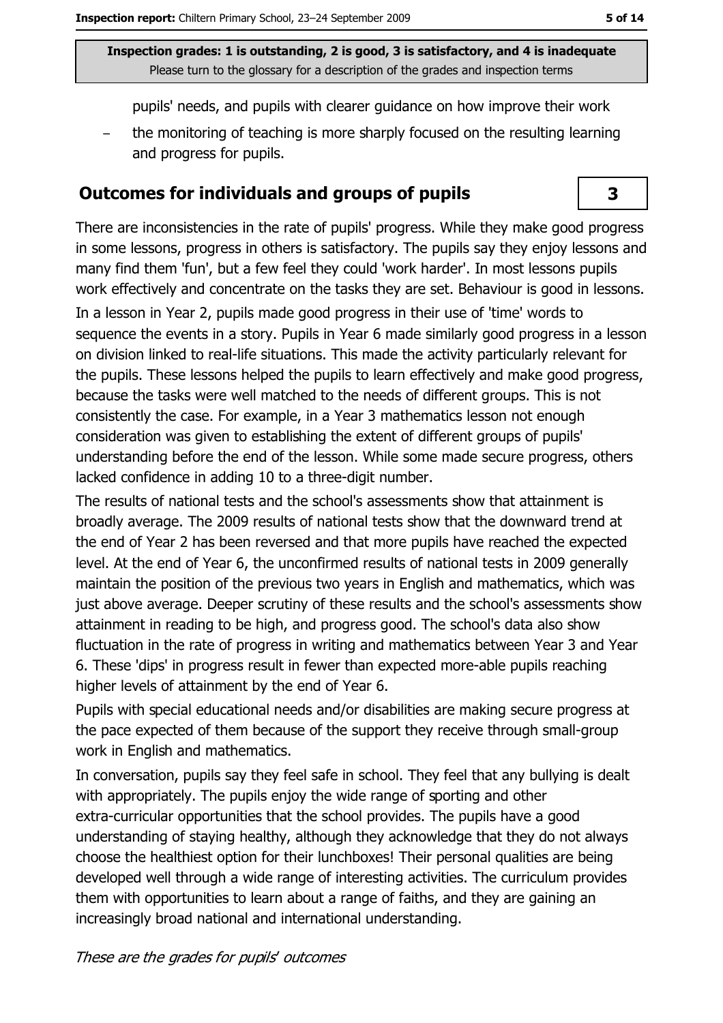pupils' needs, and pupils with clearer guidance on how improve their work

the monitoring of teaching is more sharply focused on the resulting learning and progress for pupils.

#### **Outcomes for individuals and groups of pupils**

There are inconsistencies in the rate of pupils' progress. While they make good progress in some lessons, progress in others is satisfactory. The pupils say they enjoy lessons and many find them 'fun', but a few feel they could 'work harder'. In most lessons pupils work effectively and concentrate on the tasks they are set. Behaviour is good in lessons.

In a lesson in Year 2, pupils made good progress in their use of 'time' words to sequence the events in a story. Pupils in Year 6 made similarly good progress in a lesson on division linked to real-life situations. This made the activity particularly relevant for the pupils. These lessons helped the pupils to learn effectively and make good progress, because the tasks were well matched to the needs of different groups. This is not consistently the case. For example, in a Year 3 mathematics lesson not enough consideration was given to establishing the extent of different groups of pupils' understanding before the end of the lesson. While some made secure progress, others lacked confidence in adding 10 to a three-digit number.

The results of national tests and the school's assessments show that attainment is broadly average. The 2009 results of national tests show that the downward trend at the end of Year 2 has been reversed and that more pupils have reached the expected level. At the end of Year 6, the unconfirmed results of national tests in 2009 generally maintain the position of the previous two years in English and mathematics, which was just above average. Deeper scrutiny of these results and the school's assessments show attainment in reading to be high, and progress good. The school's data also show fluctuation in the rate of progress in writing and mathematics between Year 3 and Year 6. These 'dips' in progress result in fewer than expected more-able pupils reaching higher levels of attainment by the end of Year 6.

Pupils with special educational needs and/or disabilities are making secure progress at the pace expected of them because of the support they receive through small-group work in English and mathematics.

In conversation, pupils say they feel safe in school. They feel that any bullying is dealt with appropriately. The pupils enjoy the wide range of sporting and other extra-curricular opportunities that the school provides. The pupils have a good understanding of staying healthy, although they acknowledge that they do not always choose the healthiest option for their lunchboxes! Their personal qualities are being developed well through a wide range of interesting activities. The curriculum provides them with opportunities to learn about a range of faiths, and they are gaining an increasingly broad national and international understanding.

3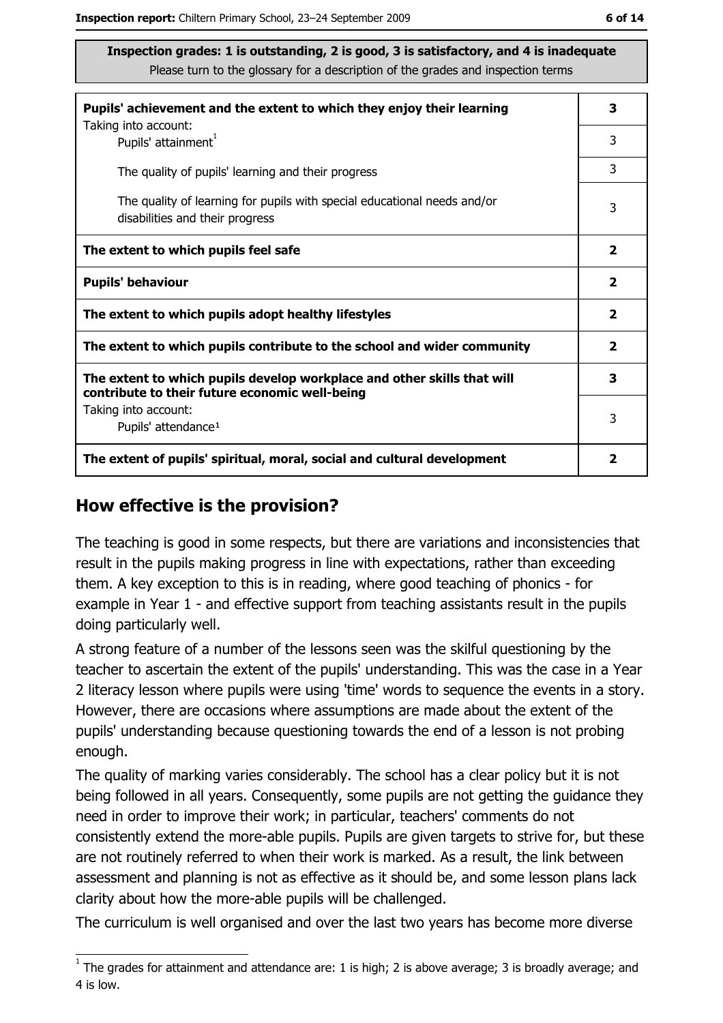| Pupils' achievement and the extent to which they enjoy their learning                                                     |              |
|---------------------------------------------------------------------------------------------------------------------------|--------------|
| Taking into account:<br>Pupils' attainment <sup>1</sup>                                                                   | 3            |
| The quality of pupils' learning and their progress                                                                        | 3            |
| The quality of learning for pupils with special educational needs and/or<br>disabilities and their progress               | 3            |
| The extent to which pupils feel safe                                                                                      | $\mathbf{2}$ |
| <b>Pupils' behaviour</b>                                                                                                  |              |
| The extent to which pupils adopt healthy lifestyles                                                                       |              |
| The extent to which pupils contribute to the school and wider community                                                   |              |
| The extent to which pupils develop workplace and other skills that will<br>contribute to their future economic well-being |              |
| Taking into account:<br>Pupils' attendance <sup>1</sup>                                                                   | 3            |
| The extent of pupils' spiritual, moral, social and cultural development                                                   |              |

#### How effective is the provision?

The teaching is good in some respects, but there are variations and inconsistencies that result in the pupils making progress in line with expectations, rather than exceeding them. A key exception to this is in reading, where good teaching of phonics - for example in Year 1 - and effective support from teaching assistants result in the pupils doing particularly well.

A strong feature of a number of the lessons seen was the skilful questioning by the teacher to ascertain the extent of the pupils' understanding. This was the case in a Year 2 literacy lesson where pupils were using 'time' words to sequence the events in a story. However, there are occasions where assumptions are made about the extent of the pupils' understanding because questioning towards the end of a lesson is not probing enough.

The quality of marking varies considerably. The school has a clear policy but it is not being followed in all years. Consequently, some pupils are not getting the guidance they need in order to improve their work; in particular, teachers' comments do not consistently extend the more-able pupils. Pupils are given targets to strive for, but these are not routinely referred to when their work is marked. As a result, the link between assessment and planning is not as effective as it should be, and some lesson plans lack clarity about how the more-able pupils will be challenged.

The curriculum is well organised and over the last two years has become more diverse

 $\overline{1}$  The grades for attainment and attendance are: 1 is high; 2 is above average; 3 is broadly average; and 4 is low.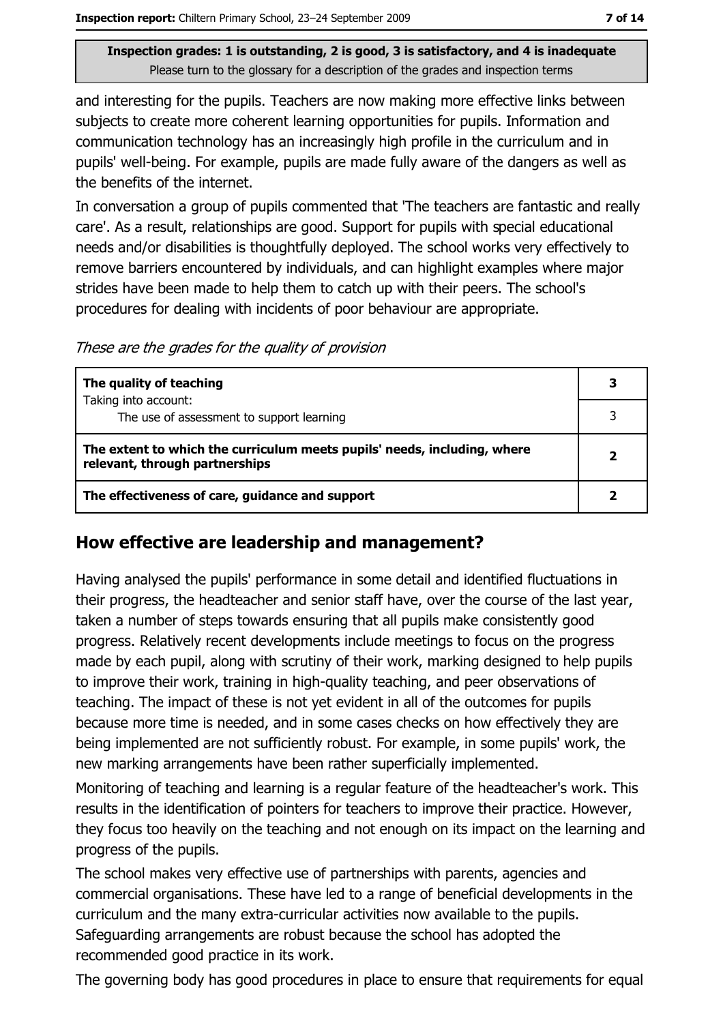and interesting for the pupils. Teachers are now making more effective links between subjects to create more coherent learning opportunities for pupils. Information and communication technology has an increasingly high profile in the curriculum and in pupils' well-being. For example, pupils are made fully aware of the dangers as well as the benefits of the internet.

In conversation a group of pupils commented that 'The teachers are fantastic and really care'. As a result, relationships are good. Support for pupils with special educational needs and/or disabilities is thoughtfully deployed. The school works very effectively to remove barriers encountered by individuals, and can highlight examples where major strides have been made to help them to catch up with their peers. The school's procedures for dealing with incidents of poor behaviour are appropriate.

These are the grades for the quality of provision

| The quality of teaching                                                                                    | 3 |
|------------------------------------------------------------------------------------------------------------|---|
| Taking into account:<br>The use of assessment to support learning                                          |   |
| The extent to which the curriculum meets pupils' needs, including, where<br>relevant, through partnerships |   |
| The effectiveness of care, guidance and support                                                            |   |

## How effective are leadership and management?

Having analysed the pupils' performance in some detail and identified fluctuations in their progress, the headteacher and senior staff have, over the course of the last year, taken a number of steps towards ensuring that all pupils make consistently good progress. Relatively recent developments include meetings to focus on the progress made by each pupil, along with scrutiny of their work, marking designed to help pupils to improve their work, training in high-quality teaching, and peer observations of teaching. The impact of these is not yet evident in all of the outcomes for pupils because more time is needed, and in some cases checks on how effectively they are being implemented are not sufficiently robust. For example, in some pupils' work, the new marking arrangements have been rather superficially implemented.

Monitoring of teaching and learning is a regular feature of the headteacher's work. This results in the identification of pointers for teachers to improve their practice. However, they focus too heavily on the teaching and not enough on its impact on the learning and progress of the pupils.

The school makes very effective use of partnerships with parents, agencies and commercial organisations. These have led to a range of beneficial developments in the curriculum and the many extra-curricular activities now available to the pupils. Safeguarding arrangements are robust because the school has adopted the recommended good practice in its work.

The governing body has good procedures in place to ensure that requirements for equal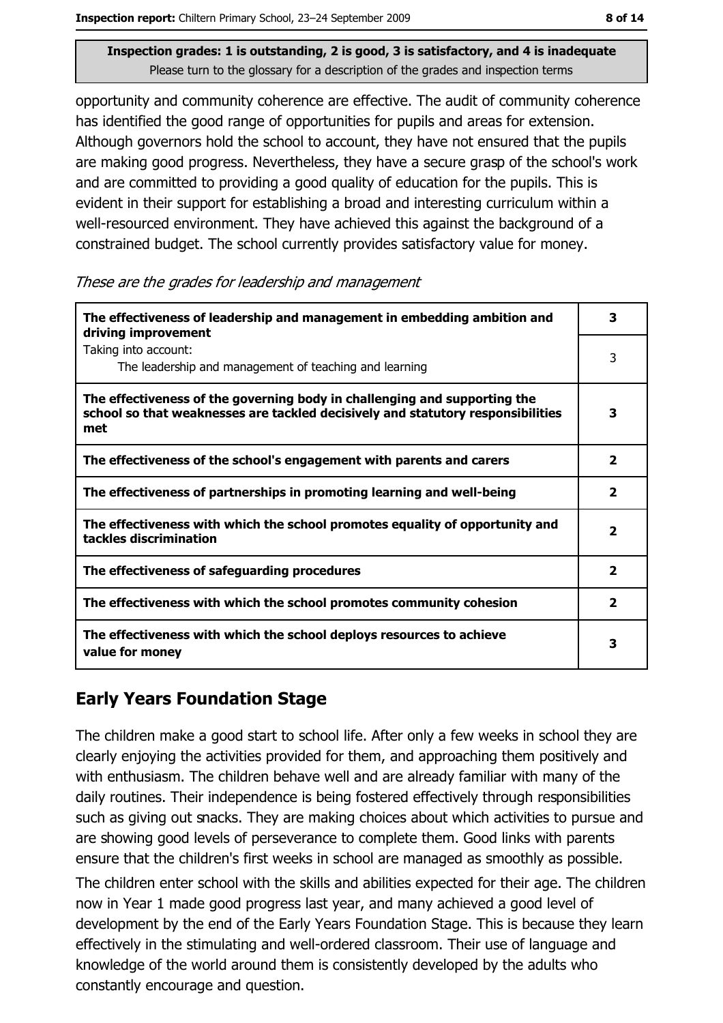opportunity and community coherence are effective. The audit of community coherence has identified the good range of opportunities for pupils and areas for extension. Although governors hold the school to account, they have not ensured that the pupils are making good progress. Nevertheless, they have a secure grasp of the school's work and are committed to providing a good quality of education for the pupils. This is evident in their support for establishing a broad and interesting curriculum within a well-resourced environment. They have achieved this against the background of a constrained budget. The school currently provides satisfactory value for money.

These are the grades for leadership and management

| The effectiveness of leadership and management in embedding ambition and<br>driving improvement                                                                     | З                        |
|---------------------------------------------------------------------------------------------------------------------------------------------------------------------|--------------------------|
| Taking into account:<br>The leadership and management of teaching and learning                                                                                      | 3                        |
| The effectiveness of the governing body in challenging and supporting the<br>school so that weaknesses are tackled decisively and statutory responsibilities<br>met | 3                        |
| The effectiveness of the school's engagement with parents and carers                                                                                                | $\mathbf{2}$             |
| The effectiveness of partnerships in promoting learning and well-being                                                                                              | $\overline{\mathbf{2}}$  |
| The effectiveness with which the school promotes equality of opportunity and<br>tackles discrimination                                                              | $\overline{\phantom{a}}$ |
| The effectiveness of safeguarding procedures                                                                                                                        | $\overline{\mathbf{2}}$  |
| The effectiveness with which the school promotes community cohesion                                                                                                 | 2                        |
| The effectiveness with which the school deploys resources to achieve<br>value for money                                                                             | З                        |

# **Early Years Foundation Stage**

The children make a good start to school life. After only a few weeks in school they are clearly enjoying the activities provided for them, and approaching them positively and with enthusiasm. The children behave well and are already familiar with many of the daily routines. Their independence is being fostered effectively through responsibilities such as giving out snacks. They are making choices about which activities to pursue and are showing good levels of perseverance to complete them. Good links with parents ensure that the children's first weeks in school are managed as smoothly as possible.

The children enter school with the skills and abilities expected for their age. The children now in Year 1 made good progress last year, and many achieved a good level of development by the end of the Early Years Foundation Stage. This is because they learn effectively in the stimulating and well-ordered classroom. Their use of language and knowledge of the world around them is consistently developed by the adults who constantly encourage and question.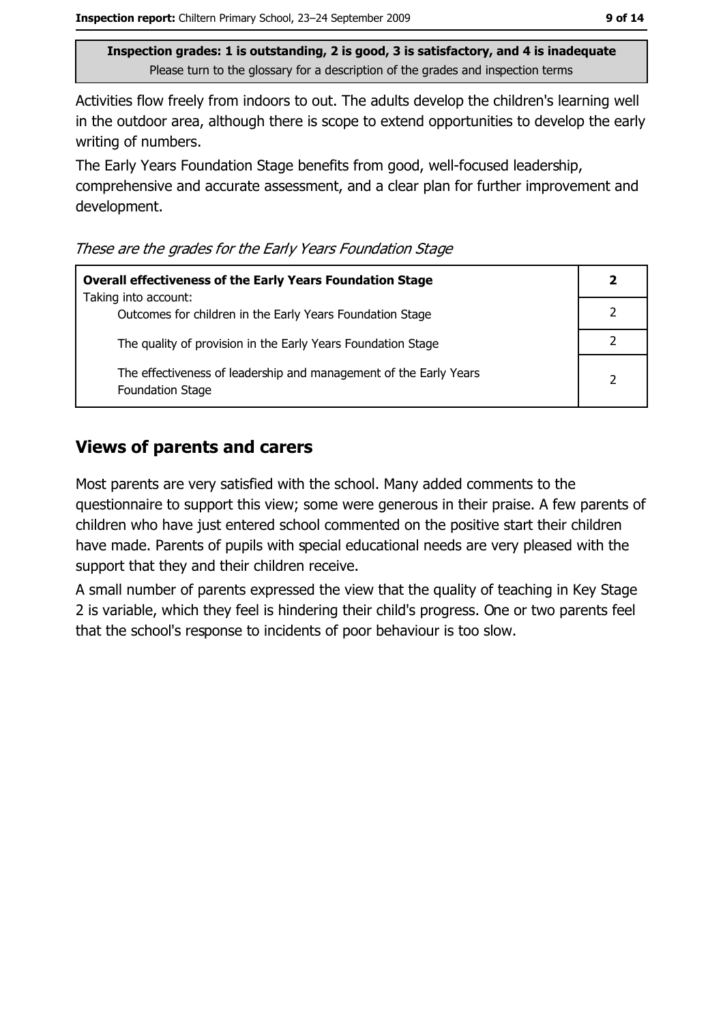Activities flow freely from indoors to out. The adults develop the children's learning well in the outdoor area, although there is scope to extend opportunities to develop the early writing of numbers.

The Early Years Foundation Stage benefits from good, well-focused leadership, comprehensive and accurate assessment, and a clear plan for further improvement and development.

These are the grades for the Early Years Foundation Stage

| <b>Overall effectiveness of the Early Years Foundation Stage</b>                             | 2              |
|----------------------------------------------------------------------------------------------|----------------|
| Taking into account:<br>Outcomes for children in the Early Years Foundation Stage            |                |
| The quality of provision in the Early Years Foundation Stage                                 |                |
| The effectiveness of leadership and management of the Early Years<br><b>Foundation Stage</b> | $\overline{2}$ |

## **Views of parents and carers**

Most parents are very satisfied with the school. Many added comments to the questionnaire to support this view; some were generous in their praise. A few parents of children who have just entered school commented on the positive start their children have made. Parents of pupils with special educational needs are very pleased with the support that they and their children receive.

A small number of parents expressed the view that the quality of teaching in Key Stage 2 is variable, which they feel is hindering their child's progress. One or two parents feel that the school's response to incidents of poor behaviour is too slow.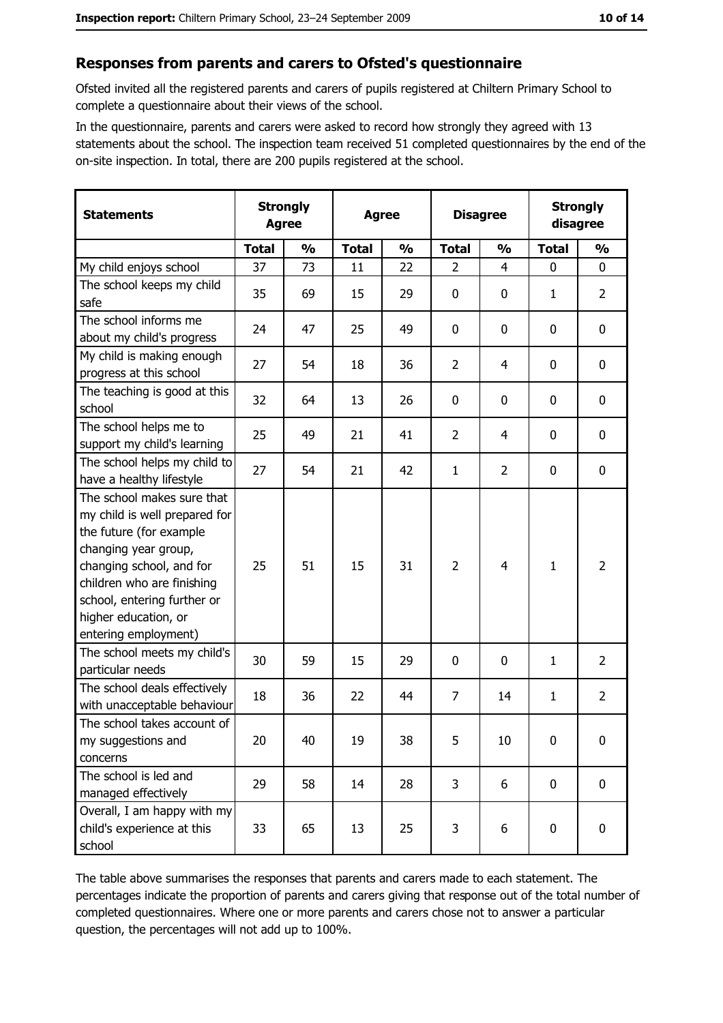#### Responses from parents and carers to Ofsted's questionnaire

Ofsted invited all the registered parents and carers of pupils registered at Chiltern Primary School to complete a questionnaire about their views of the school.

In the questionnaire, parents and carers were asked to record how strongly they agreed with 13 statements about the school. The inspection team received 51 completed questionnaires by the end of the on-site inspection. In total, there are 200 pupils registered at the school.

| <b>Statements</b>                                                                                                                                                                                                                                       | <b>Strongly</b><br><b>Agree</b> |               | <b>Agree</b> |               |                | <b>Disagree</b> |              | <b>Strongly</b><br>disagree |  |
|---------------------------------------------------------------------------------------------------------------------------------------------------------------------------------------------------------------------------------------------------------|---------------------------------|---------------|--------------|---------------|----------------|-----------------|--------------|-----------------------------|--|
|                                                                                                                                                                                                                                                         | <b>Total</b>                    | $\frac{0}{0}$ | <b>Total</b> | $\frac{0}{0}$ | <b>Total</b>   | $\frac{0}{0}$   | <b>Total</b> | $\frac{0}{0}$               |  |
| My child enjoys school                                                                                                                                                                                                                                  | 37                              | 73            | 11           | 22            | $\overline{2}$ | $\overline{4}$  | 0            | 0                           |  |
| The school keeps my child<br>safe                                                                                                                                                                                                                       | 35                              | 69            | 15           | 29            | $\mathbf 0$    | 0               | 1            | $\overline{2}$              |  |
| The school informs me<br>about my child's progress                                                                                                                                                                                                      | 24                              | 47            | 25           | 49            | 0              | 0               | $\Omega$     | 0                           |  |
| My child is making enough<br>progress at this school                                                                                                                                                                                                    | 27                              | 54            | 18           | 36            | $\overline{2}$ | 4               | 0            | $\mathbf 0$                 |  |
| The teaching is good at this<br>school                                                                                                                                                                                                                  | 32                              | 64            | 13           | 26            | $\mathbf 0$    | 0               | 0            | $\mathbf 0$                 |  |
| The school helps me to<br>support my child's learning                                                                                                                                                                                                   | 25                              | 49            | 21           | 41            | $\overline{2}$ | 4               | 0            | 0                           |  |
| The school helps my child to<br>have a healthy lifestyle                                                                                                                                                                                                | 27                              | 54            | 21           | 42            | $\mathbf{1}$   | $\overline{2}$  | 0            | $\boldsymbol{0}$            |  |
| The school makes sure that<br>my child is well prepared for<br>the future (for example<br>changing year group,<br>changing school, and for<br>children who are finishing<br>school, entering further or<br>higher education, or<br>entering employment) | 25                              | 51            | 15           | 31            | $\overline{2}$ | 4               | 1            | $\overline{2}$              |  |
| The school meets my child's<br>particular needs                                                                                                                                                                                                         | 30                              | 59            | 15           | 29            | 0              | 0               | 1            | $\overline{2}$              |  |
| The school deals effectively<br>with unacceptable behaviour                                                                                                                                                                                             | 18                              | 36            | 22           | 44            | $\overline{7}$ | 14              | $\mathbf{1}$ | $\overline{2}$              |  |
| The school takes account of<br>my suggestions and<br>concerns                                                                                                                                                                                           | 20                              | 40            | 19           | 38            | 5              | 10              | 0            | $\boldsymbol{0}$            |  |
| The school is led and<br>managed effectively                                                                                                                                                                                                            | 29                              | 58            | 14           | 28            | 3              | 6               | 0            | $\mathbf 0$                 |  |
| Overall, I am happy with my<br>child's experience at this<br>school                                                                                                                                                                                     | 33                              | 65            | 13           | 25            | 3              | 6               | 0            | 0                           |  |

The table above summarises the responses that parents and carers made to each statement. The percentages indicate the proportion of parents and carers giving that response out of the total number of completed questionnaires. Where one or more parents and carers chose not to answer a particular question, the percentages will not add up to 100%.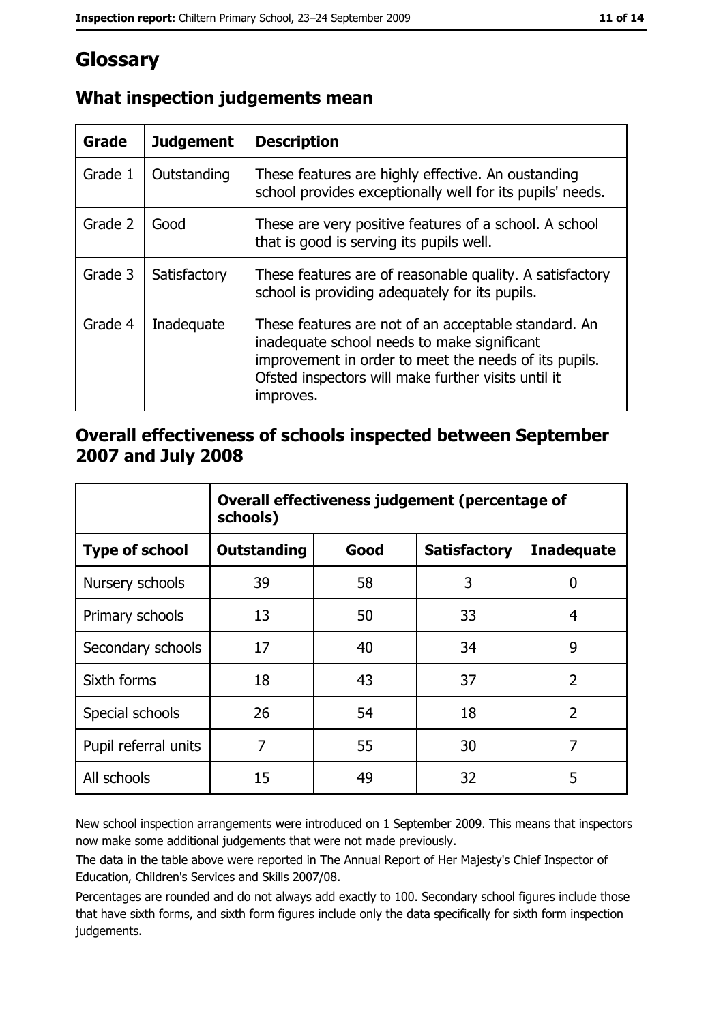# Glossary

| <b>Grade</b> | <b>Judgement</b> | <b>Description</b>                                                                                                                                                                                                               |
|--------------|------------------|----------------------------------------------------------------------------------------------------------------------------------------------------------------------------------------------------------------------------------|
| Grade 1      | Outstanding      | These features are highly effective. An oustanding<br>school provides exceptionally well for its pupils' needs.                                                                                                                  |
| Grade 2      | Good             | These are very positive features of a school. A school<br>that is good is serving its pupils well.                                                                                                                               |
| Grade 3      | Satisfactory     | These features are of reasonable quality. A satisfactory<br>school is providing adequately for its pupils.                                                                                                                       |
| Grade 4      | Inadequate       | These features are not of an acceptable standard. An<br>inadequate school needs to make significant<br>improvement in order to meet the needs of its pupils.<br>Ofsted inspectors will make further visits until it<br>improves. |

## What inspection judgements mean

### Overall effectiveness of schools inspected between September 2007 and July 2008

|                       | Overall effectiveness judgement (percentage of<br>schools) |      |                     |                   |
|-----------------------|------------------------------------------------------------|------|---------------------|-------------------|
| <b>Type of school</b> | <b>Outstanding</b>                                         | Good | <b>Satisfactory</b> | <b>Inadequate</b> |
| Nursery schools       | 39                                                         | 58   | 3                   | 0                 |
| Primary schools       | 13                                                         | 50   | 33                  | 4                 |
| Secondary schools     | 17                                                         | 40   | 34                  | 9                 |
| Sixth forms           | 18                                                         | 43   | 37                  | $\overline{2}$    |
| Special schools       | 26                                                         | 54   | 18                  | $\overline{2}$    |
| Pupil referral units  | 7                                                          | 55   | 30                  | 7                 |
| All schools           | 15                                                         | 49   | 32                  | 5                 |

New school inspection arrangements were introduced on 1 September 2009. This means that inspectors now make some additional judgements that were not made previously.

The data in the table above were reported in The Annual Report of Her Majesty's Chief Inspector of Education, Children's Services and Skills 2007/08.

Percentages are rounded and do not always add exactly to 100. Secondary school figures include those that have sixth forms, and sixth form figures include only the data specifically for sixth form inspection judgements.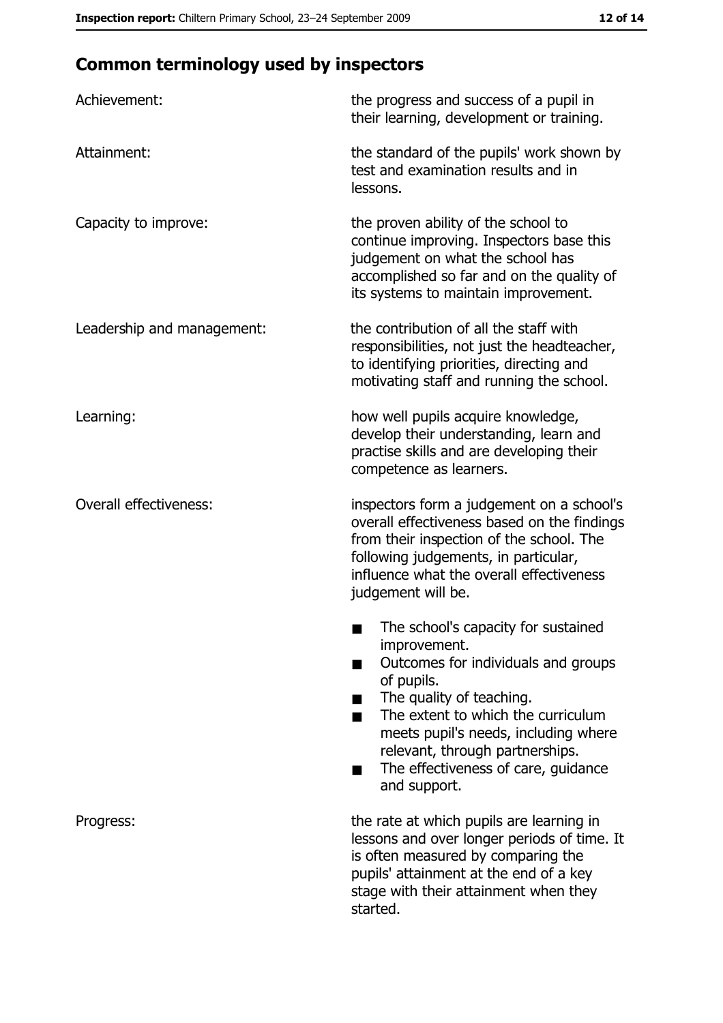# **Common terminology used by inspectors**

| Achievement:                  | the progress and success of a pupil in<br>their learning, development or training.                                                                                                                                                                                                                           |
|-------------------------------|--------------------------------------------------------------------------------------------------------------------------------------------------------------------------------------------------------------------------------------------------------------------------------------------------------------|
| Attainment:                   | the standard of the pupils' work shown by<br>test and examination results and in<br>lessons.                                                                                                                                                                                                                 |
| Capacity to improve:          | the proven ability of the school to<br>continue improving. Inspectors base this<br>judgement on what the school has<br>accomplished so far and on the quality of<br>its systems to maintain improvement.                                                                                                     |
| Leadership and management:    | the contribution of all the staff with<br>responsibilities, not just the headteacher,<br>to identifying priorities, directing and<br>motivating staff and running the school.                                                                                                                                |
| Learning:                     | how well pupils acquire knowledge,<br>develop their understanding, learn and<br>practise skills and are developing their<br>competence as learners.                                                                                                                                                          |
| <b>Overall effectiveness:</b> | inspectors form a judgement on a school's<br>overall effectiveness based on the findings<br>from their inspection of the school. The<br>following judgements, in particular,<br>influence what the overall effectiveness<br>judgement will be.                                                               |
|                               | The school's capacity for sustained<br>improvement.<br>Outcomes for individuals and groups<br>of pupils.<br>The quality of teaching.<br>The extent to which the curriculum<br>meets pupil's needs, including where<br>relevant, through partnerships.<br>The effectiveness of care, guidance<br>and support. |
| Progress:                     | the rate at which pupils are learning in<br>lessons and over longer periods of time. It<br>is often measured by comparing the<br>pupils' attainment at the end of a key<br>stage with their attainment when they<br>started.                                                                                 |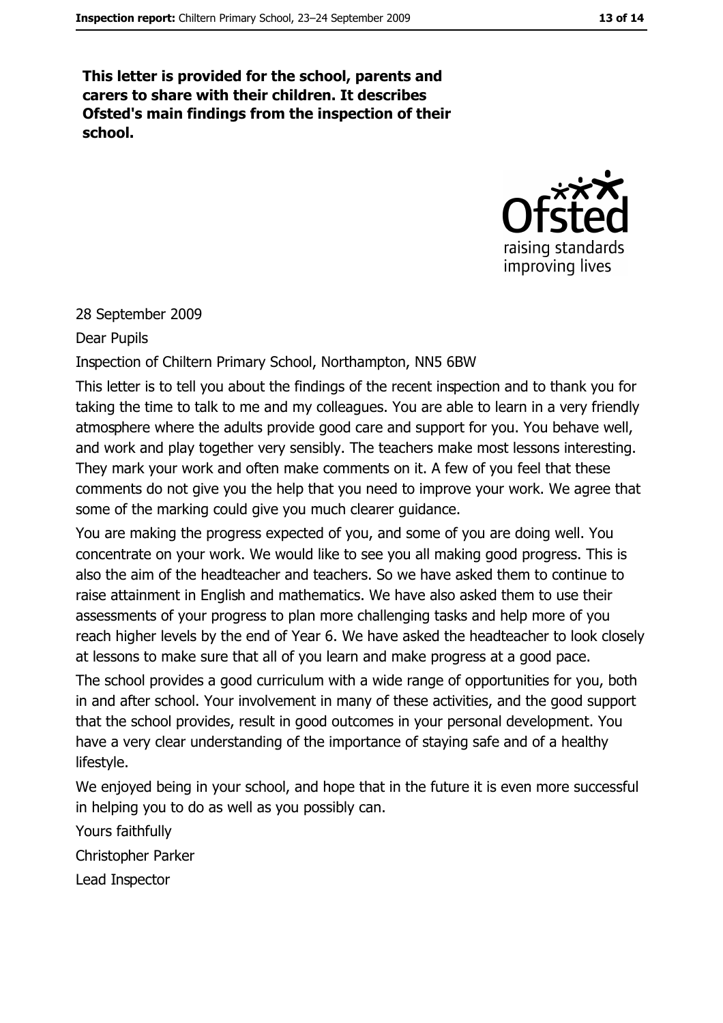This letter is provided for the school, parents and carers to share with their children. It describes Ofsted's main findings from the inspection of their school.



### 28 September 2009

#### Dear Pupils

### Inspection of Chiltern Primary School, Northampton, NN5 6BW

This letter is to tell you about the findings of the recent inspection and to thank you for taking the time to talk to me and my colleagues. You are able to learn in a very friendly atmosphere where the adults provide good care and support for you. You behave well, and work and play together very sensibly. The teachers make most lessons interesting. They mark your work and often make comments on it. A few of you feel that these comments do not give you the help that you need to improve your work. We agree that some of the marking could give you much clearer guidance.

You are making the progress expected of you, and some of you are doing well. You concentrate on your work. We would like to see you all making good progress. This is also the aim of the headteacher and teachers. So we have asked them to continue to raise attainment in English and mathematics. We have also asked them to use their assessments of your progress to plan more challenging tasks and help more of you reach higher levels by the end of Year 6. We have asked the headteacher to look closely at lessons to make sure that all of you learn and make progress at a good pace.

The school provides a good curriculum with a wide range of opportunities for you, both in and after school. Your involvement in many of these activities, and the good support that the school provides, result in good outcomes in your personal development. You have a very clear understanding of the importance of staying safe and of a healthy lifestyle.

We enjoyed being in your school, and hope that in the future it is even more successful in helping you to do as well as you possibly can.

Yours faithfully

Christopher Parker

Lead Inspector